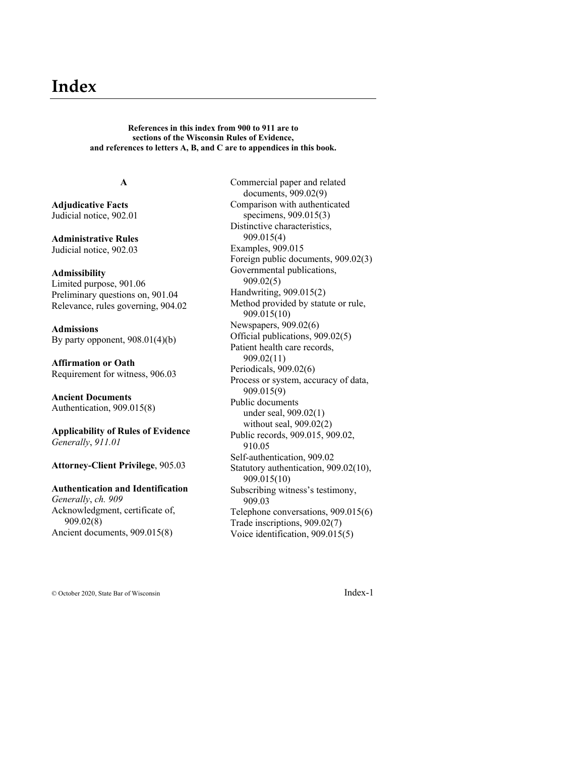# **Index**

**References in this index from 900 to 911 are to sections of the Wisconsin Rules of Evidence, and references to letters A, B, and C are to appendices in this book.**

## **A**

**Adjudicative Facts** Judicial notice, 902.01

**Administrative Rules** Judicial notice, 902.03

#### **Admissibility**

Limited purpose, 901.06 Preliminary questions on, 901.04 Relevance, rules governing, 904.02

**Admissions** By party opponent, 908.01(4)(b)

**Affirmation or Oath** Requirement for witness, 906.03

**Ancient Documents** Authentication, 909.015(8)

**Applicability of Rules of Evidence** *Generally*, *911.01*

**Attorney-Client Privilege**, 905.03

## **Authentication and Identification** *Generally*, *ch. 909* Acknowledgment, certificate of, 909.02(8) Ancient documents, 909.015(8)

Commercial paper and related documents, 909.02(9) Comparison with authenticated specimens, 909.015(3) Distinctive characteristics, 909.015(4) Examples, 909.015 Foreign public documents, 909.02(3) Governmental publications, 909.02(5) Handwriting, 909.015(2) Method provided by statute or rule, 909.015(10) Newspapers, 909.02(6) Official publications, 909.02(5) Patient health care records, 909.02(11) Periodicals, 909.02(6) Process or system, accuracy of data, 909.015(9) Public documents under seal, 909.02(1) without seal, 909.02(2) Public records, 909.015, 909.02, 910.05 Self-authentication, 909.02 Statutory authentication, 909.02(10), 909.015(10) Subscribing witness's testimony, 909.03 Telephone conversations, 909.015(6) Trade inscriptions, 909.02(7) Voice identification, 909.015(5)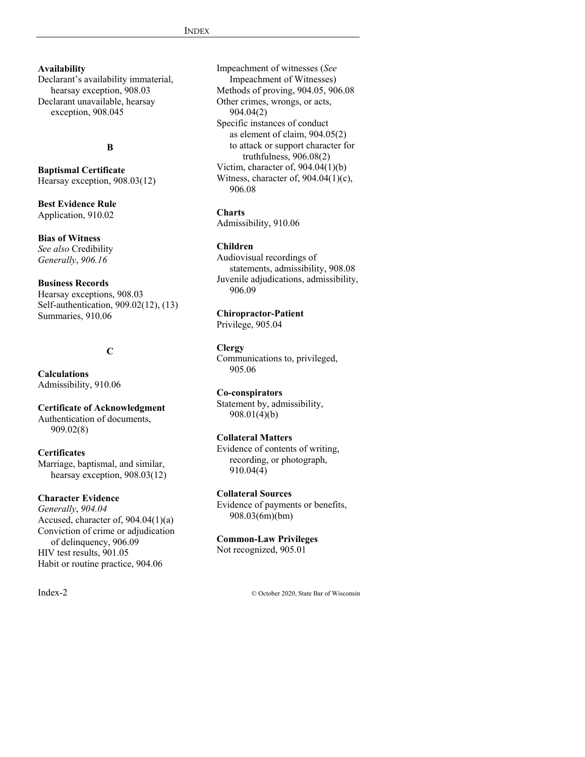## **Availability**

Declarant's availability immaterial, hearsay exception, 908.03 Declarant unavailable, hearsay exception, 908.045

## **B**

**Baptismal Certificate** Hearsay exception, 908.03(12)

**Best Evidence Rule** Application, 910.02

## **Bias of Witness**

*See also* Credibility *Generally*, *906.16*

## **Business Records**

Hearsay exceptions, 908.03 Self-authentication, 909.02(12), (13) Summaries, 910.06

## **C**

**Calculations** Admissibility, 910.06

**Certificate of Acknowledgment** Authentication of documents, 909.02(8)

#### **Certificates**

Marriage, baptismal, and similar, hearsay exception, 908.03(12)

#### **Character Evidence**

*Generally*, *904.04* Accused, character of, 904.04(1)(a) Conviction of crime or adjudication of delinquency, 906.09 HIV test results, 901.05 Habit or routine practice, 904.06

Impeachment of witnesses (*See* Impeachment of Witnesses) Methods of proving, 904.05, 906.08 Other crimes, wrongs, or acts, 904.04(2) Specific instances of conduct as element of claim, 904.05(2) to attack or support character for truthfulness, 906.08(2) Victim, character of, 904.04(1)(b) Witness, character of, 904.04(1)(c), 906.08

**Charts**

Admissibility, 910.06

## **Children**

Audiovisual recordings of statements, admissibility, 908.08 Juvenile adjudications, admissibility, 906.09

## **Chiropractor-Patient**

Privilege, 905.04

## **Clergy**

Communications to, privileged, 905.06

## **Co-conspirators**

Statement by, admissibility, 908.01(4)(b)

## **Collateral Matters**

Evidence of contents of writing, recording, or photograph, 910.04(4)

## **Collateral Sources**

Evidence of payments or benefits, 908.03(6m)(bm)

## **Common-Law Privileges**

Not recognized, 905.01

Index-2 © October 2020, State Bar of Wisconsin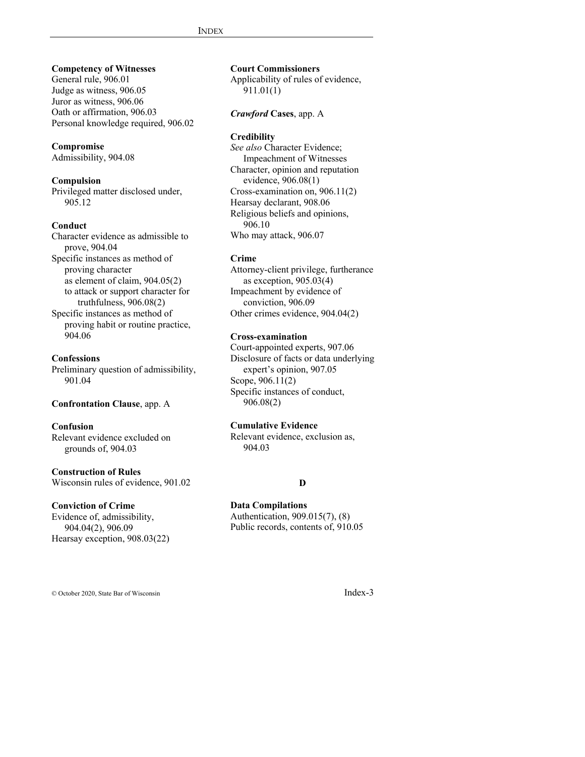## **Competency of Witnesses**

General rule, 906.01 Judge as witness, 906.05 Juror as witness, 906.06 Oath or affirmation, 906.03 Personal knowledge required, 906.02

## **Compromise**

Admissibility, 904.08

## **Compulsion**

Privileged matter disclosed under, 905.12

## **Conduct**

Character evidence as admissible to prove, 904.04 Specific instances as method of proving character as element of claim, 904.05(2) to attack or support character for truthfulness, 906.08(2) Specific instances as method of proving habit or routine practice,

904.06

## **Confessions**

Preliminary question of admissibility, 901.04

## **Confrontation Clause**, app. A

## **Confusion**

Relevant evidence excluded on grounds of, 904.03

## **Construction of Rules**

Wisconsin rules of evidence, 901.02

## **Conviction of Crime**

Evidence of, admissibility, 904.04(2), 906.09 Hearsay exception, 908.03(22) **Court Commissioners**

Applicability of rules of evidence, 911.01(1)

## *Crawford* **Cases**, app. A

## **Credibility**

*See also* Character Evidence; Impeachment of Witnesses Character, opinion and reputation evidence, 906.08(1) Cross-examination on, 906.11(2) Hearsay declarant, 908.06 Religious beliefs and opinions, 906.10 Who may attack, 906.07

#### **Crime**

Attorney-client privilege, furtherance as exception, 905.03(4) Impeachment by evidence of conviction, 906.09 Other crimes evidence, 904.04(2)

## **Cross-examination**

Court-appointed experts, 907.06 Disclosure of facts or data underlying expert's opinion, 907.05 Scope, 906.11(2) Specific instances of conduct, 906.08(2)

## **Cumulative Evidence**

Relevant evidence, exclusion as, 904.03

#### **D**

## **Data Compilations**

Authentication, 909.015(7), (8) Public records, contents of, 910.05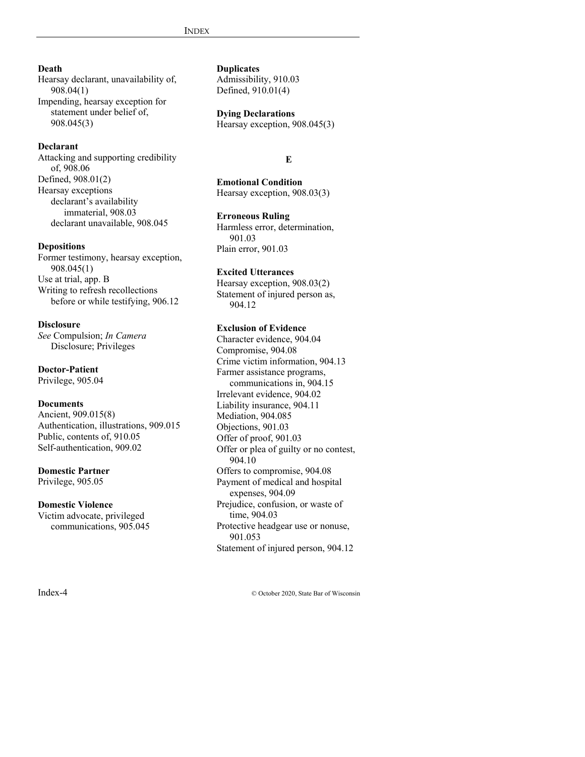## **Death**

Hearsay declarant, unavailability of, 908.04(1) Impending, hearsay exception for statement under belief of, 908.045(3)

## **Declarant**

Attacking and supporting credibility of, 908.06 Defined, 908.01(2) Hearsay exceptions declarant's availability immaterial, 908.03 declarant unavailable, 908.045

## **Depositions**

Former testimony, hearsay exception, 908.045(1) Use at trial, app. B Writing to refresh recollections before or while testifying, 906.12

## **Disclosure**

*See* Compulsion; *In Camera* Disclosure; Privileges

## **Doctor-Patient**

Privilege, 905.04

#### **Documents**

Ancient, 909.015(8) Authentication, illustrations, 909.015 Public, contents of, 910.05 Self-authentication, 909.02

# **Domestic Partner**

Privilege, 905.05

## **Domestic Violence**

Victim advocate, privileged communications, 905.045 **Duplicates** Admissibility, 910.03

Defined, 910.01(4)

## **Dying Declarations**

Hearsay exception, 908.045(3)

## **E**

**Emotional Condition** Hearsay exception, 908.03(3)

## **Erroneous Ruling**

Harmless error, determination, 901.03 Plain error, 901.03

## **Excited Utterances**

Hearsay exception, 908.03(2) Statement of injured person as, 904.12

## **Exclusion of Evidence**

Character evidence, 904.04 Compromise, 904.08 Crime victim information, 904.13 Farmer assistance programs, communications in, 904.15 Irrelevant evidence, 904.02 Liability insurance, 904.11 Mediation, 904.085 Objections, 901.03 Offer of proof, 901.03 Offer or plea of guilty or no contest, 904.10 Offers to compromise, 904.08 Payment of medical and hospital expenses, 904.09 Prejudice, confusion, or waste of time, 904.03 Protective headgear use or nonuse, 901.053 Statement of injured person, 904.12

Index-4 © October 2020, State Bar of Wisconsin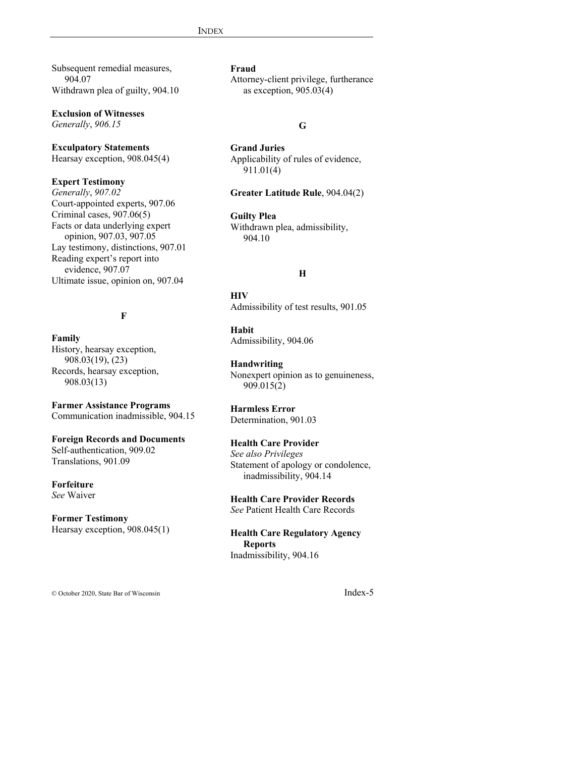Subsequent remedial measures, 904.07 Withdrawn plea of guilty, 904.10

**Exclusion of Witnesses**

*Generally*, *906.15*

## **Exculpatory Statements**

Hearsay exception, 908.045(4)

#### **Expert Testimony**

*Generally*, *907.02* Court-appointed experts, 907.06 Criminal cases, 907.06(5) Facts or data underlying expert opinion, 907.03, 907.05 Lay testimony, distinctions, 907.01 Reading expert's report into evidence, 907.07 Ultimate issue, opinion on, 907.04

## **F**

**Family** History, hearsay exception, 908.03(19), (23) Records, hearsay exception, 908.03(13)

**Farmer Assistance Programs** Communication inadmissible, 904.15

#### **Foreign Records and Documents**

Self-authentication, 909.02 Translations, 901.09

**Forfeiture**

*See* Waiver

## **Former Testimony**

Hearsay exception, 908.045(1)

## **Fraud**

Attorney-client privilege, furtherance as exception, 905.03(4)

## **G**

**Grand Juries** Applicability of rules of evidence, 911.01(4)

#### **Greater Latitude Rule**, 904.04(2)

**Guilty Plea** Withdrawn plea, admissibility, 904.10

## **H**

**HIV** Admissibility of test results, 901.05

**Habit** Admissibility, 904.06

## **Handwriting**

Nonexpert opinion as to genuineness, 909.015(2)

# **Harmless Error**

Determination, 901.03

## **Health Care Provider**

*See also Privileges* Statement of apology or condolence, inadmissibility, 904.14

**Health Care Provider Records** *See* Patient Health Care Records

**Health Care Regulatory Agency Reports** Inadmissibility, 904.16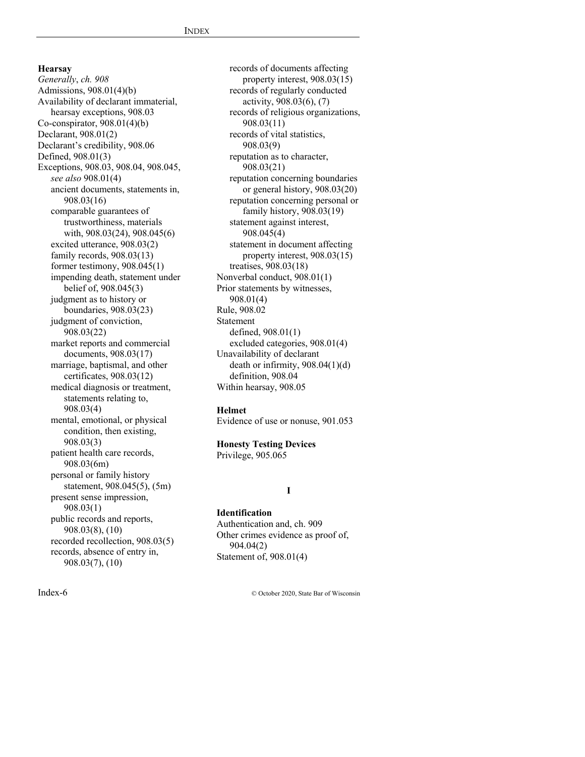*Generally*, *ch. 908* Admissions, 908.01(4)(b) Availability of declarant immaterial, hearsay exceptions, 908.03 Co-conspirator,  $908.01(4)(b)$ Declarant, 908.01(2) Declarant's credibility, 908.06 Defined, 908.01(3) Exceptions, 908.03, 908.04, 908.045, *see also* 908.01(4) ancient documents, statements in, 908.03(16) comparable guarantees of trustworthiness, materials with, 908.03(24), 908.045(6) excited utterance, 908.03(2) family records, 908.03(13) former testimony, 908.045(1) impending death, statement under belief of, 908.045(3) judgment as to history or boundaries, 908.03(23) judgment of conviction, 908.03(22) market reports and commercial documents, 908.03(17) marriage, baptismal, and other certificates, 908.03(12) medical diagnosis or treatment, statements relating to, 908.03(4) mental, emotional, or physical condition, then existing, 908.03(3) patient health care records, 908.03(6m) personal or family history statement, 908.045(5), (5m) present sense impression, 908.03(1) public records and reports, 908.03(8), (10) recorded recollection, 908.03(5) records, absence of entry in, 908.03(7), (10)

**Hearsay**

records of documents affecting property interest, 908.03(15) records of regularly conducted activity, 908.03(6), (7) records of religious organizations, 908.03(11) records of vital statistics, 908.03(9) reputation as to character, 908.03(21) reputation concerning boundaries or general history, 908.03(20) reputation concerning personal or family history, 908.03(19) statement against interest, 908.045(4) statement in document affecting property interest, 908.03(15) treatises, 908.03(18) Nonverbal conduct, 908.01(1) Prior statements by witnesses, 908.01(4) Rule, 908.02 Statement defined, 908.01(1) excluded categories, 908.01(4) Unavailability of declarant death or infirmity, 908.04(1)(d) definition, 908.04 Within hearsay, 908.05

#### **Helmet**

Evidence of use or nonuse, 901.053

## **Honesty Testing Devices**

Privilege, 905.065

#### **I**

## **Identification**

Authentication and, ch. 909 Other crimes evidence as proof of, 904.04(2) Statement of, 908.01(4)

Index-6 © October 2020, State Bar of Wisconsin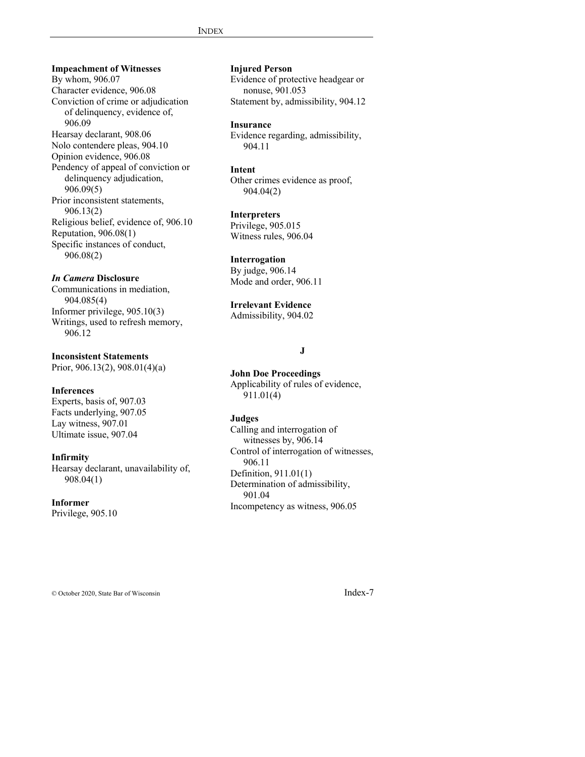**Impeachment of Witnesses** By whom, 906.07 Character evidence, 906.08 Conviction of crime or adjudication of delinquency, evidence of, 906.09 Hearsay declarant, 908.06 Nolo contendere pleas, 904.10 Opinion evidence, 906.08 Pendency of appeal of conviction or delinquency adjudication, 906.09(5) Prior inconsistent statements, 906.13(2) Religious belief, evidence of, 906.10 Reputation, 906.08(1) Specific instances of conduct, 906.08(2)

## *In Camera* **Disclosure**

Communications in mediation, 904.085(4) Informer privilege, 905.10(3) Writings, used to refresh memory, 906.12

**Inconsistent Statements**

Prior, 906.13(2), 908.01(4)(a)

#### **Inferences**

Experts, basis of, 907.03 Facts underlying, 907.05 Lay witness, 907.01 Ultimate issue, 907.04

#### **Infirmity**

Hearsay declarant, unavailability of, 908.04(1)

## **Informer**

Privilege, 905.10

## **Injured Person**

Evidence of protective headgear or nonuse, 901.053 Statement by, admissibility, 904.12

## **Insurance**

Evidence regarding, admissibility, 904.11

#### **Intent**

Other crimes evidence as proof, 904.04(2)

#### **Interpreters**

Privilege, 905.015 Witness rules, 906.04

## **Interrogation**

By judge, 906.14 Mode and order, 906.11

#### **Irrelevant Evidence**

Admissibility, 904.02

## **J**

**John Doe Proceedings** Applicability of rules of evidence, 911.01(4)

#### **Judges**

Calling and interrogation of witnesses by, 906.14 Control of interrogation of witnesses, 906.11 Definition, 911.01(1) Determination of admissibility, 901.04 Incompetency as witness, 906.05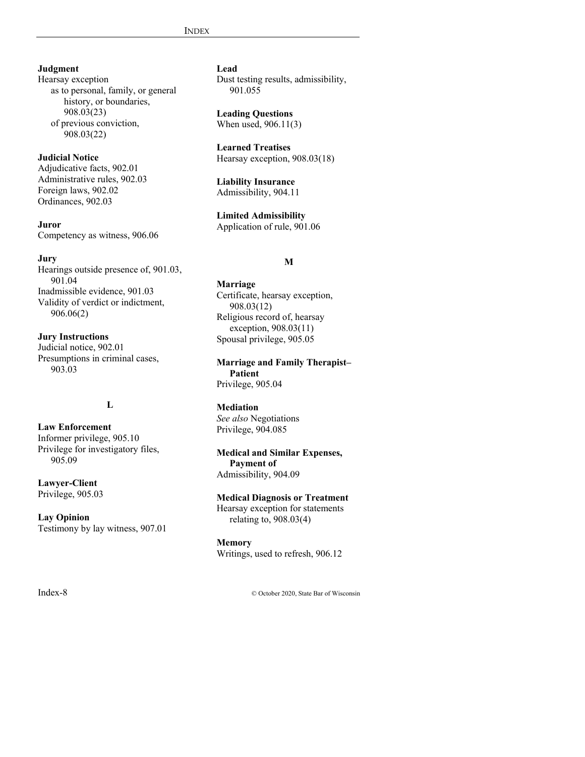## **Judgment**

Hearsay exception as to personal, family, or general history, or boundaries, 908.03(23) of previous conviction, 908.03(22)

## **Judicial Notice**

Adjudicative facts, 902.01 Administrative rules, 902.03 Foreign laws, 902.02 Ordinances, 902.03

**Juror** Competency as witness, 906.06

## **Jury**

Hearings outside presence of, 901.03, 901.04 Inadmissible evidence, 901.03 Validity of verdict or indictment, 906.06(2)

**Jury Instructions** Judicial notice, 902.01 Presumptions in criminal cases, 903.03

## **L**

**Law Enforcement** Informer privilege, 905.10 Privilege for investigatory files, 905.09

## **Lawyer-Client** Privilege, 905.03

**Lay Opinion** Testimony by lay witness, 907.01

## **Lead**

Dust testing results, admissibility, 901.055

**Leading Questions** When used, 906.11(3)

**Learned Treatises** Hearsay exception, 908.03(18)

**Liability Insurance** Admissibility, 904.11

**Limited Admissibility** Application of rule, 901.06

## **M**

**Marriage** Certificate, hearsay exception, 908.03(12) Religious record of, hearsay exception, 908.03(11) Spousal privilege, 905.05

**Marriage and Family Therapist– Patient** Privilege, 905.04

## **Mediation**

*See also* Negotiations Privilege, 904.085

**Medical and Similar Expenses, Payment of** Admissibility, 904.09

## **Medical Diagnosis or Treatment** Hearsay exception for statements

relating to, 908.03(4)

**Memory** Writings, used to refresh, 906.12

Index-8 © October 2020, State Bar of Wisconsin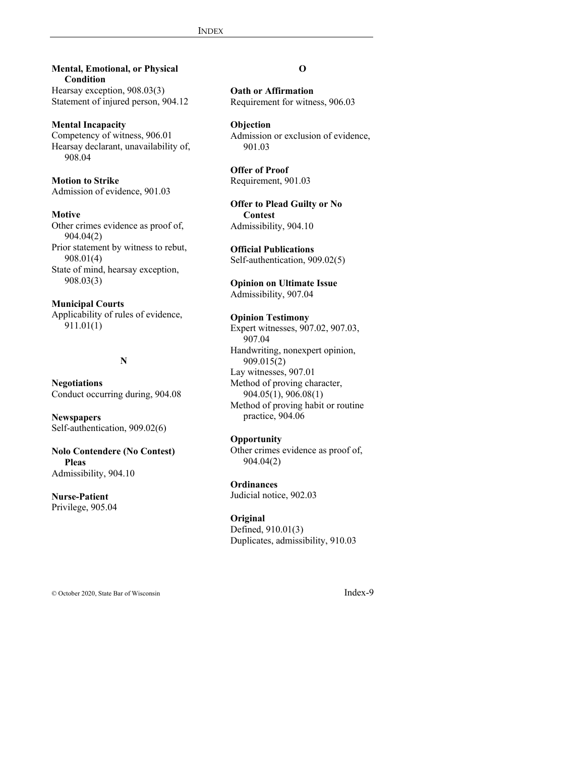## **Mental, Emotional, or Physical Condition**

Hearsay exception, 908.03(3) Statement of injured person, 904.12

#### **Mental Incapacity**

Competency of witness, 906.01 Hearsay declarant, unavailability of, 908.04

## **Motion to Strike**

Admission of evidence, 901.03

## **Motive**

Other crimes evidence as proof of, 904.04(2) Prior statement by witness to rebut, 908.01(4) State of mind, hearsay exception, 908.03(3)

## **Municipal Courts**

Applicability of rules of evidence, 911.01(1)

## **N**

**Negotiations** Conduct occurring during, 904.08

**Newspapers** Self-authentication, 909.02(6)

## **Nolo Contendere (No Contest) Pleas** Admissibility, 904.10

**Nurse-Patient** Privilege, 905.04

## **O**

**Oath or Affirmation** Requirement for witness, 906.03

## **Objection**

Admission or exclusion of evidence, 901.03

**Offer of Proof** Requirement, 901.03

**Offer to Plead Guilty or No Contest** Admissibility, 904.10

**Official Publications** Self-authentication, 909.02(5)

**Opinion on Ultimate Issue** Admissibility, 907.04

## **Opinion Testimony** Expert witnesses, 907.02, 907.03, 907.04 Handwriting, nonexpert opinion, 909.015(2) Lay witnesses, 907.01 Method of proving character, 904.05(1), 906.08(1) Method of proving habit or routine practice, 904.06

#### **Opportunity**

Other crimes evidence as proof of, 904.04(2)

**Ordinances** Judicial notice, 902.03

#### **Original**

Defined, 910.01(3) Duplicates, admissibility, 910.03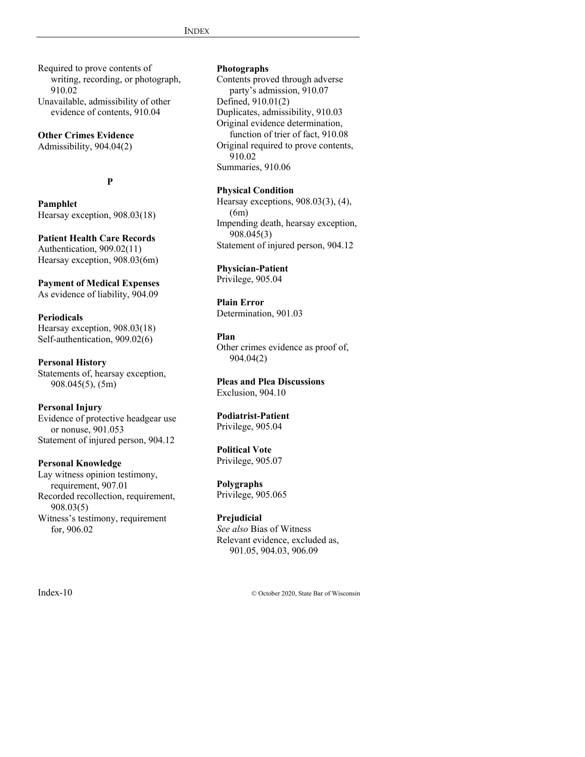Required to prove contents of writing, recording, or photograph, 910.02 Unavailable, admissibility of other

evidence of contents, 910.04

## **Other Crimes Evidence**

Admissibility, 904.04(2)

## **P**

**Pamphlet** Hearsay exception, 908.03(18)

## **Patient Health Care Records**

Authentication, 909.02(11) Hearsay exception, 908.03(6m)

## **Payment of Medical Expenses**

As evidence of liability, 904.09

#### **Periodicals**

Hearsay exception, 908.03(18) Self-authentication, 909.02(6)

**Personal History** Statements of, hearsay exception, 908.045(5), (5m)

#### **Personal Injury**

Evidence of protective headgear use or nonuse, 901.053 Statement of injured person, 904.12

#### **Personal Knowledge**

Lay witness opinion testimony, requirement, 907.01 Recorded recollection, requirement, 908.03(5) Witness's testimony, requirement for, 906.02

## **Photographs**

Contents proved through adverse party's admission, 910.07 Defined, 910.01(2) Duplicates, admissibility, 910.03 Original evidence determination, function of trier of fact, 910.08 Original required to prove contents, 910.02 Summaries, 910.06

## **Physical Condition**

Hearsay exceptions, 908.03(3), (4), (6m) Impending death, hearsay exception, 908.045(3) Statement of injured person, 904.12

## **Physician-Patient**

Privilege, 905.04

**Plain Error** Determination, 901.03

#### **Plan**

Other crimes evidence as proof of, 904.04(2)

# **Pleas and Plea Discussions**

Exclusion, 904.10

## **Podiatrist-Patient**

Privilege, 905.04

## **Political Vote**

Privilege, 905.07

## **Polygraphs**

Privilege, 905.065

#### **Prejudicial**

*See also* Bias of Witness Relevant evidence, excluded as, 901.05, 904.03, 906.09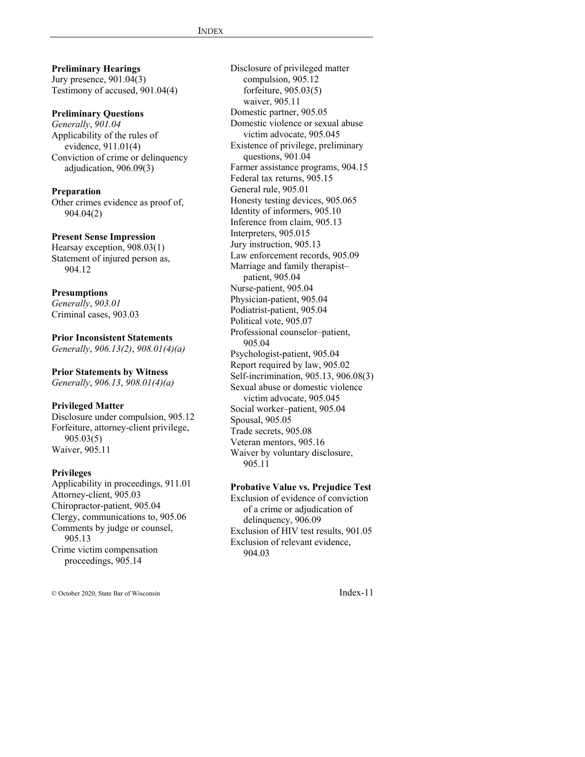**Preliminary Hearings** Jury presence, 901.04(3) Testimony of accused, 901.04(4) **Preliminary Questions**

*Generally*, *901.04* Applicability of the rules of evidence, 911.01(4) Conviction of crime or delinquency adjudication, 906.09(3)

## **Preparation**

Other crimes evidence as proof of, 904.04(2)

#### **Present Sense Impression**

Hearsay exception, 908.03(1) Statement of injured person as, 904.12

#### **Presumptions**

*Generally*, *903.01* Criminal cases, 903.03

## **Prior Inconsistent Statements** *Generally*, *906.13(2)*, *908.01(4)(a)*

**Prior Statements by Witness**

*Generally*, *906.13*, *908.01(4)(a)*

#### **Privileged Matter**

Disclosure under compulsion, 905.12 Forfeiture, attorney-client privilege, 905.03(5) Waiver, 905.11

## **Privileges**

Applicability in proceedings, 911.01 Attorney-client, 905.03 Chiropractor-patient, 905.04 Clergy, communications to, 905.06 Comments by judge or counsel, 905.13 Crime victim compensation proceedings, 905.14

Disclosure of privileged matter compulsion, 905.12 forfeiture, 905.03(5) waiver, 905.11 Domestic partner, 905.05 Domestic violence or sexual abuse victim advocate, 905.045 Existence of privilege, preliminary questions, 901.04 Farmer assistance programs, 904.15 Federal tax returns, 905.15 General rule, 905.01 Honesty testing devices, 905.065 Identity of informers, 905.10 Inference from claim, 905.13 Interpreters, 905.015 Jury instruction, 905.13 Law enforcement records, 905.09 Marriage and family therapist– patient, 905.04 Nurse-patient, 905.04 Physician-patient, 905.04 Podiatrist-patient, 905.04 Political vote, 905.07 Professional counselor–patient, 905.04 Psychologist-patient, 905.04 Report required by law, 905.02 Self-incrimination, 905.13, 906.08(3) Sexual abuse or domestic violence victim advocate, 905.045 Social worker–patient, 905.04 Spousal, 905.05 Trade secrets, 905.08 Veteran mentors, 905.16 Waiver by voluntary disclosure, 905.11

#### **Probative Value vs. Prejudice Test**

Exclusion of evidence of conviction of a crime or adjudication of delinquency, 906.09 Exclusion of HIV test results, 901.05 Exclusion of relevant evidence, 904.03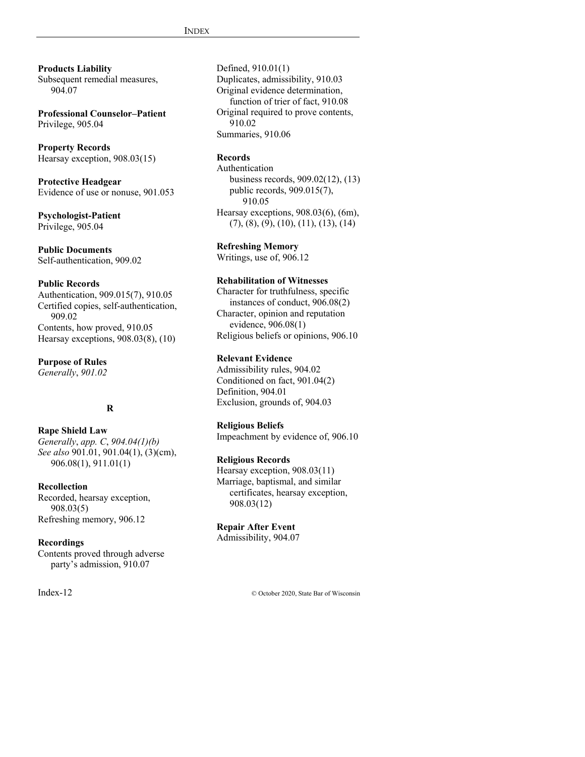**Products Liability** Subsequent remedial measures, 904.07

**Professional Counselor–Patient** Privilege, 905.04

**Property Records** Hearsay exception, 908.03(15)

**Protective Headgear** Evidence of use or nonuse, 901.053

**Psychologist-Patient** Privilege, 905.04

**Public Documents** Self-authentication, 909.02

#### **Public Records**

Authentication, 909.015(7), 910.05 Certified copies, self-authentication, 909.02 Contents, how proved, 910.05 Hearsay exceptions, 908.03(8), (10)

**Purpose of Rules**

*Generally*, *901.02*

## **R**

**Rape Shield Law** *Generally*, *app. C*, *904.04(1)(b) See also* 901.01, 901.04(1), (3)(cm), 906.08(1), 911.01(1)

#### **Recollection**

Recorded, hearsay exception, 908.03(5) Refreshing memory, 906.12

#### **Recordings**

Contents proved through adverse party's admission, 910.07

Defined, 910.01(1) Duplicates, admissibility, 910.03 Original evidence determination, function of trier of fact, 910.08 Original required to prove contents, 910.02 Summaries, 910.06

## **Records**

Authentication business records, 909.02(12), (13) public records, 909.015(7), 910.05 Hearsay exceptions, 908.03(6), (6m),  $(7), (8), (9), (10), (11), (13), (14)$ 

**Refreshing Memory**

Writings, use of, 906.12

## **Rehabilitation of Witnesses**

Character for truthfulness, specific instances of conduct, 906.08(2) Character, opinion and reputation evidence, 906.08(1) Religious beliefs or opinions, 906.10

## **Relevant Evidence**

Admissibility rules, 904.02 Conditioned on fact, 901.04(2) Definition, 904.01 Exclusion, grounds of, 904.03

#### **Religious Beliefs**

Impeachment by evidence of, 906.10

#### **Religious Records**

Hearsay exception, 908.03(11) Marriage, baptismal, and similar certificates, hearsay exception, 908.03(12)

#### **Repair After Event** Admissibility, 904.07

Index-12 © October 2020, State Bar of Wisconsin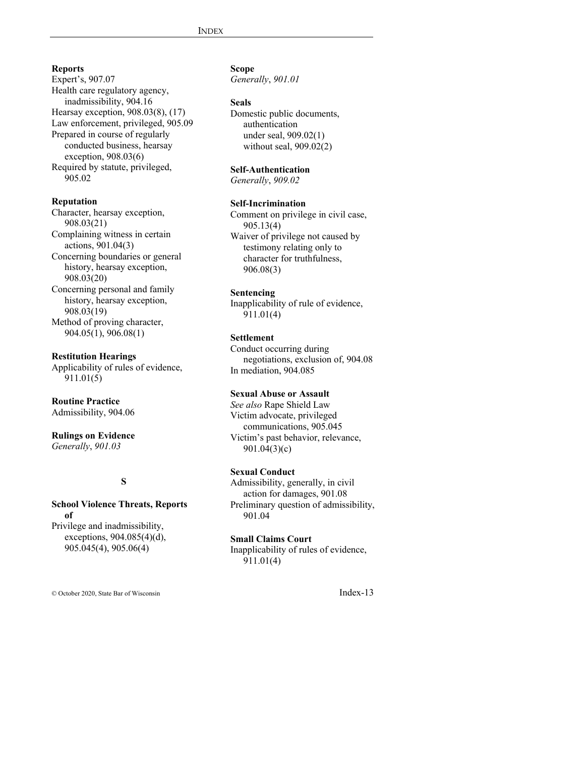## **Reports**

Expert's, 907.07 Health care regulatory agency, inadmissibility, 904.16 Hearsay exception, 908.03(8), (17) Law enforcement, privileged, 905.09 Prepared in course of regularly conducted business, hearsay exception, 908.03(6) Required by statute, privileged, 905.02

## **Reputation**

Character, hearsay exception, 908.03(21) Complaining witness in certain actions, 901.04(3) Concerning boundaries or general history, hearsay exception, 908.03(20) Concerning personal and family history, hearsay exception, 908.03(19) Method of proving character, 904.05(1), 906.08(1)

## **Restitution Hearings**

Applicability of rules of evidence, 911.01(5)

#### **Routine Practice** Admissibility, 904.06

**Rulings on Evidence** *Generally*, *901.03*

## **S**

## **School Violence Threats, Reports of**

Privilege and inadmissibility, exceptions, 904.085(4)(d), 905.045(4), 905.06(4)

## **Scope**

*Generally*, *901.01*

#### **Seals**

Domestic public documents, authentication under seal, 909.02(1) without seal, 909.02(2)

## **Self-Authentication**

*Generally*, *909.02*

## **Self-Incrimination**

Comment on privilege in civil case, 905.13(4) Waiver of privilege not caused by testimony relating only to character for truthfulness, 906.08(3)

## **Sentencing**

Inapplicability of rule of evidence, 911.01(4)

#### **Settlement**

Conduct occurring during negotiations, exclusion of, 904.08 In mediation, 904.085

## **Sexual Abuse or Assault**

*See also* Rape Shield Law Victim advocate, privileged communications, 905.045 Victim's past behavior, relevance, 901.04(3)(c)

## **Sexual Conduct**

Admissibility, generally, in civil action for damages, 901.08 Preliminary question of admissibility, 901.04

#### **Small Claims Court**

Inapplicability of rules of evidence, 911.01(4)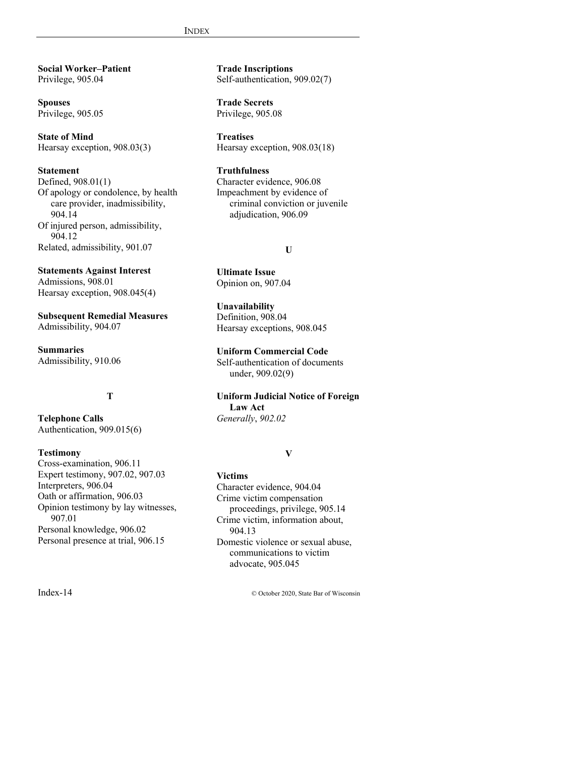**Social Worker–Patient** Privilege, 905.04

**Spouses** Privilege, 905.05

**State of Mind** Hearsay exception, 908.03(3)

**Statement** Defined, 908.01(1) Of apology or condolence, by health care provider, inadmissibility, 904.14 Of injured person, admissibility, 904.12 Related, admissibility, 901.07

**Statements Against Interest** Admissions, 908.01 Hearsay exception, 908.045(4)

**Subsequent Remedial Measures** Admissibility, 904.07

**Summaries** Admissibility, 910.06

## **T**

**Telephone Calls** Authentication, 909.015(6)

## **Testimony**

Cross-examination, 906.11 Expert testimony, 907.02, 907.03 Interpreters, 906.04 Oath or affirmation, 906.03 Opinion testimony by lay witnesses, 907.01 Personal knowledge, 906.02 Personal presence at trial, 906.15

**Trade Inscriptions** Self-authentication, 909.02(7)

**Trade Secrets** Privilege, 905.08

**Treatises** Hearsay exception, 908.03(18)

## **Truthfulness**

Character evidence, 906.08 Impeachment by evidence of criminal conviction or juvenile adjudication, 906.09

## **U**

**Ultimate Issue** Opinion on, 907.04

**Unavailability** Definition, 908.04 Hearsay exceptions, 908.045

**Uniform Commercial Code** Self-authentication of documents under, 909.02(9)

**Uniform Judicial Notice of Foreign Law Act** *Generally*, *902.02*

## **V**

**Victims** Character evidence, 904.04 Crime victim compensation proceedings, privilege, 905.14 Crime victim, information about, 904.13 Domestic violence or sexual abuse, communications to victim advocate, 905.045

Index-14 © October 2020, State Bar of Wisconsin